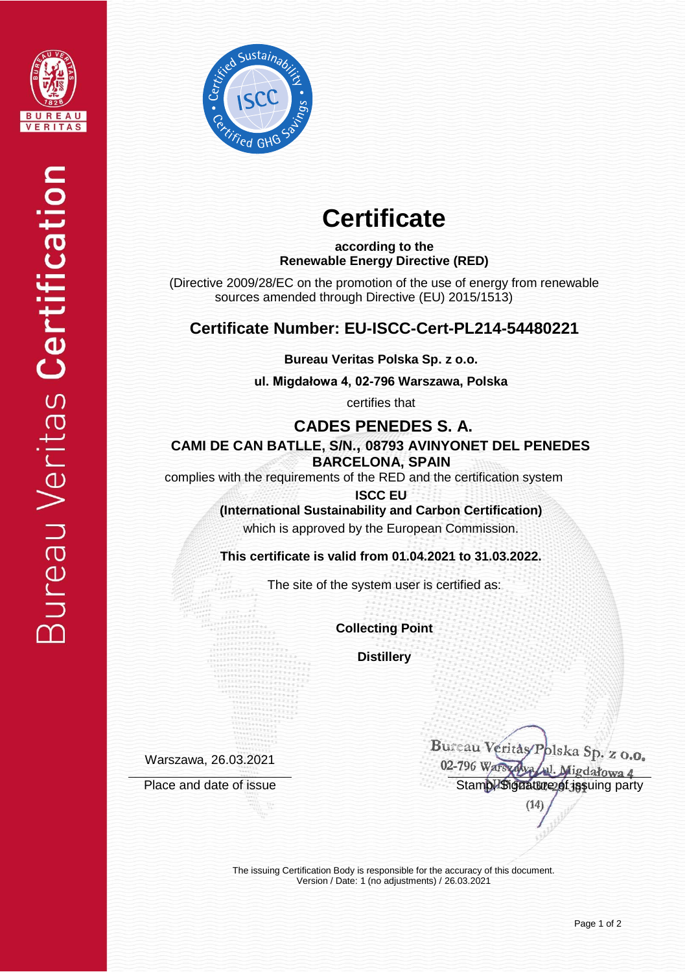



# **Certificate**

### **according to the Renewable Energy Directive (RED)**

(Directive 2009/28/EC on the promotion of the use of energy from renewable sources amended through Directive (EU) 2015/1513)

### **Certificate Number: EU-ISCC-Cert-PL214-54480221**

**Bureau Veritas Polska Sp. z o.o.**

**ul. Migdałowa 4, 02-796 Warszawa, Polska** 

certifies that

 **CADES PENEDES S. A.**

 **CAMI DE CAN BATLLE, S/N., 08793 AVINYONET DEL PENEDES BARCELONA, SPAIN**

complies with the requirements of the RED and the certification system

**ISCC EU (International Sustainability and Carbon Certification)** which is approved by the European Commission.

**This certificate is valid from 01.04.2021 to 31.03.2022.**

The site of the system user is certified as:

**Collecting Point**

**Distillery**

Warszawa, 26.03.2021

Bureau Veritas Polska Sp. z o.o. 02-796 Warsyawa W. Migdałowa 4 Place and date of issue Stamp, Signature of issue Stamp, Signature of issuing party

 $(14)$ 

The issuing Certification Body is responsible for the accuracy of this document. Version / Date: 1 (no adjustments) / 26.03.2021